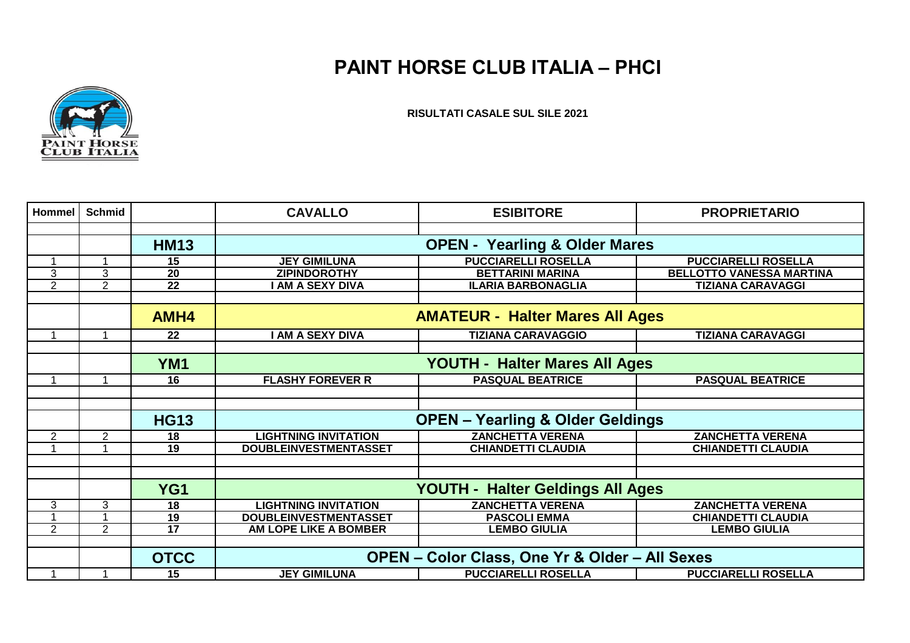## **PAINT HORSE CLUB ITALIA – PHCI**



**RISULTATI CASALE SUL SILE 2021**

| Hommel         | <b>Schmid</b>  |                 | <b>CAVALLO</b>                                            | <b>ESIBITORE</b>           | <b>PROPRIETARIO</b>             |  |
|----------------|----------------|-----------------|-----------------------------------------------------------|----------------------------|---------------------------------|--|
|                |                |                 |                                                           |                            |                                 |  |
|                |                | <b>HM13</b>     | <b>OPEN - Yearling &amp; Older Mares</b>                  |                            |                                 |  |
| 1              |                | 15              | <b>JEY GIMILUNA</b>                                       | <b>PUCCIARELLI ROSELLA</b> | <b>PUCCIARELLI ROSELLA</b>      |  |
| 3              | 3              | $\overline{20}$ | <b>ZIPINDOROTHY</b>                                       | <b>BETTARINI MARINA</b>    | <b>BELLOTTO VANESSA MARTINA</b> |  |
| $\overline{2}$ | $\overline{2}$ | $\overline{22}$ | <b>AM A SEXY DIVA</b>                                     | <b>ILARIA BARBONAGLIA</b>  | <b>TIZIANA CARAVAGGI</b>        |  |
|                |                |                 |                                                           |                            |                                 |  |
|                |                | AMH4            | <b>AMATEUR - Halter Mares All Ages</b>                    |                            |                                 |  |
| 1              |                | 22              | I AM A SEXY DIVA                                          | <b>TIZIANA CARAVAGGIO</b>  | <b>TIZIANA CARAVAGGI</b>        |  |
|                |                |                 |                                                           |                            |                                 |  |
|                |                | YM <sub>1</sub> | <b>YOUTH - Halter Mares All Ages</b>                      |                            |                                 |  |
|                |                | 16              | <b>FLASHY FOREVER R</b>                                   | <b>PASQUAL BEATRICE</b>    | <b>PASQUAL BEATRICE</b>         |  |
|                |                |                 |                                                           |                            |                                 |  |
|                |                |                 |                                                           |                            |                                 |  |
|                |                | <b>HG13</b>     | <b>OPEN - Yearling &amp; Older Geldings</b>               |                            |                                 |  |
| 2              | $\overline{2}$ | 18              | <b>LIGHTNING INVITATION</b>                               | <b>ZANCHETTA VERENA</b>    | <b>ZANCHETTA VERENA</b>         |  |
|                |                | 19              | <b>DOUBLEINVESTMENTASSET</b>                              | <b>CHIANDETTI CLAUDIA</b>  | <b>CHIANDETTI CLAUDIA</b>       |  |
|                |                |                 |                                                           |                            |                                 |  |
|                |                |                 |                                                           |                            |                                 |  |
|                |                | YG1             | YOUTH - Halter Geldings All Ages                          |                            |                                 |  |
| 3              | 3              | $\overline{18}$ | <b>LIGHTNING INVITATION</b>                               | <b>ZANCHETTA VERENA</b>    | <b>ZANCHETTA VERENA</b>         |  |
|                |                | 19              | <b>DOUBLEINVESTMENTASSET</b>                              | <b>PASCOLI EMMA</b>        | <b>CHIANDETTI CLAUDIA</b>       |  |
| $\overline{2}$ | $\overline{2}$ | $\overline{17}$ | AM LOPE LIKE A BOMBER                                     | <b>LEMBO GIULIA</b>        | <b>LEMBO GIULIA</b>             |  |
|                |                |                 |                                                           |                            |                                 |  |
|                |                | <b>OTCC</b>     | <b>OPEN - Color Class, One Yr &amp; Older - All Sexes</b> |                            |                                 |  |
|                |                | 15              | <b>JEY GIMILUNA</b>                                       | <b>PUCCIARELLI ROSELLA</b> | <b>PUCCIARELLI ROSELLA</b>      |  |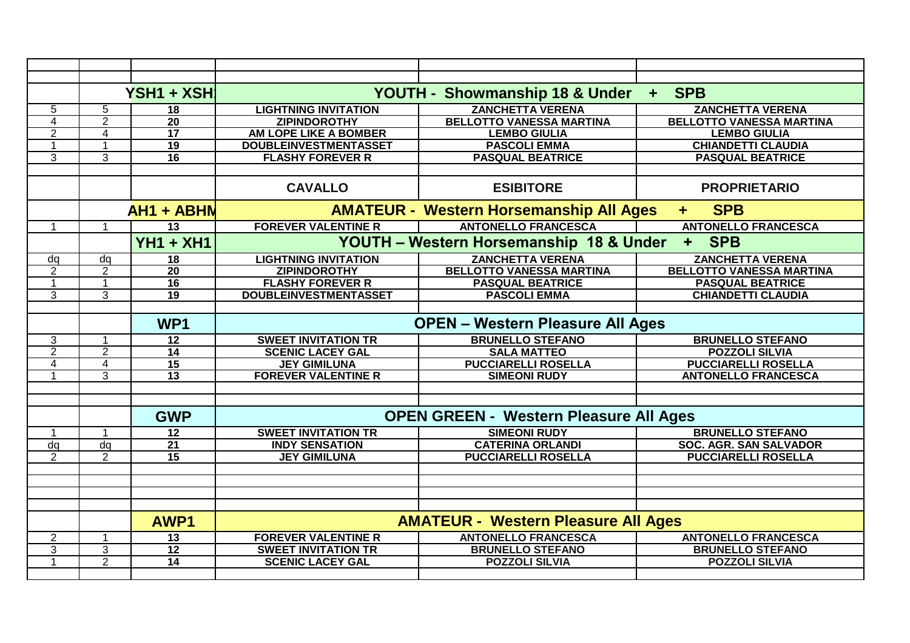|                |                     | YSH1 + XSH                         |                                                                    | YOUTH - Showmanship 18 & Under                | <b>SPB</b><br>$+$               |  |
|----------------|---------------------|------------------------------------|--------------------------------------------------------------------|-----------------------------------------------|---------------------------------|--|
| 5              | 5                   | 18                                 | <b>LIGHTNING INVITATION</b>                                        | <b>ZANCHETTA VERENA</b>                       | <b>ZANCHETTA VERENA</b>         |  |
| 4              | 2                   | 20                                 | <b>ZIPINDOROTHY</b>                                                | <b>BELLOTTO VANESSA MARTINA</b>               | <b>BELLOTTO VANESSA MARTINA</b> |  |
| 2              | 4                   | $\overline{17}$                    | <b>AM LOPE LIKE A BOMBER</b>                                       | <b>LEMBO GIULIA</b>                           | <b>LEMBO GIULIA</b>             |  |
|                | $\overline{1}$      | $\overline{19}$                    | <b>DOUBLEINVESTMENTASSET</b>                                       | <b>PASCOLI EMMA</b>                           | <b>CHIANDETTI CLAUDIA</b>       |  |
| 3              | 3                   | 16                                 | <b>FLASHY FOREVER R</b>                                            | <b>PASQUAL BEATRICE</b>                       | <b>PASQUAL BEATRICE</b>         |  |
|                |                     |                                    |                                                                    |                                               |                                 |  |
|                |                     |                                    | <b>CAVALLO</b>                                                     | <b>ESIBITORE</b>                              | <b>PROPRIETARIO</b>             |  |
|                |                     | <b>AH1 + ABHN</b>                  | <b>AMATEUR - Western Horsemanship All Ages</b><br><b>SPB</b><br>÷. |                                               |                                 |  |
|                | $\overline{1}$      | $\overline{13}$                    | <b>FOREVER VALENTINE R</b>                                         | <b>ANTONELLO FRANCESCA</b>                    | <b>ANTONELLO FRANCESCA</b>      |  |
|                |                     | <b>YH1 + XH1</b>                   | YOUTH - Western Horsemanship 18 & Under<br>+ SPB                   |                                               |                                 |  |
| da             | dq                  | 18                                 | <b>LIGHTNING INVITATION</b>                                        | <b>ZANCHETTA VERENA</b>                       | <b>ZANCHETTA VERENA</b>         |  |
| 2              | $\overline{2}$      | 20                                 | <b>ZIPINDOROTHY</b>                                                | <b>BELLOTTO VANESSA MARTINA</b>               | <b>BELLOTTO VANESSA MARTINA</b> |  |
|                |                     | 16                                 | <b>FLASHY FOREVER R</b>                                            | <b>PASQUAL BEATRICE</b>                       | <b>PASQUAL BEATRICE</b>         |  |
| 3              | 3                   | $\overline{19}$                    | <b>DOUBLEINVESTMENTASSET</b>                                       | <b>PASCOLI EMMA</b>                           | <b>CHIANDETTI CLAUDIA</b>       |  |
|                |                     |                                    |                                                                    |                                               |                                 |  |
|                |                     | WP <sub>1</sub>                    | <b>OPEN - Western Pleasure All Ages</b>                            |                                               |                                 |  |
| 3              | $\overline{1}$      | $\overline{12}$                    | <b>SWEET INVITATION TR</b>                                         | <b>BRUNELLO STEFANO</b>                       | <b>BRUNELLO STEFANO</b>         |  |
| 2              | 2                   | 14                                 | <b>SCENIC LACEY GAL</b>                                            | <b>SALA MATTEO</b>                            | <b>POZZOLI SILVIA</b>           |  |
| 4              | 4                   | 15                                 | <b>JEY GIMILUNA</b>                                                | <b>PUCCIARELLI ROSELLA</b>                    | <b>PUCCIARELLI ROSELLA</b>      |  |
|                | 3                   | 13                                 | <b>FOREVER VALENTINE R</b>                                         | <b>SIMEONI RUDY</b>                           | <b>ANTONELLO FRANCESCA</b>      |  |
|                |                     |                                    |                                                                    |                                               |                                 |  |
|                |                     |                                    |                                                                    | <b>OPEN GREEN - Western Pleasure All Ages</b> |                                 |  |
|                |                     | <b>GWP</b>                         |                                                                    |                                               |                                 |  |
|                | $\mathbf{1}$        | 12                                 | <b>SWEET INVITATION TR</b>                                         | <b>SIMEONI RUDY</b>                           | <b>BRUNELLO STEFANO</b>         |  |
| dq             | dq                  | $\overline{21}$                    | <b>INDY SENSATION</b>                                              | <b>CATERINA ORLANDI</b>                       | <b>SOC. AGR. SAN SALVADOR</b>   |  |
| 2              | 2                   | $\overline{15}$                    | <b>JEY GIMILUNA</b>                                                | <b>PUCCIARELLI ROSELLA</b>                    | <b>PUCCIARELLI ROSELLA</b>      |  |
|                |                     |                                    |                                                                    |                                               |                                 |  |
|                |                     |                                    |                                                                    |                                               |                                 |  |
|                |                     |                                    |                                                                    |                                               |                                 |  |
|                |                     | AWP1                               |                                                                    | <b>AMATEUR - Western Pleasure All Ages</b>    |                                 |  |
|                | $\overline{1}$      | 13                                 | <b>FOREVER VALENTINE R</b>                                         | <b>ANTONELLO FRANCESCA</b>                    | <b>ANTONELLO FRANCESCA</b>      |  |
| $\overline{2}$ |                     |                                    |                                                                    | <b>BRUNELLO STEFANO</b>                       | <b>BRUNELLO STEFANO</b>         |  |
| 3              | $\overline{3}$<br>2 | $\overline{12}$<br>$\overline{14}$ | <b>SWEET INVITATION TR</b><br><b>SCENIC LACEY GAL</b>              | <b>POZZOLI SILVIA</b>                         | <b>POZZOLI SILVIA</b>           |  |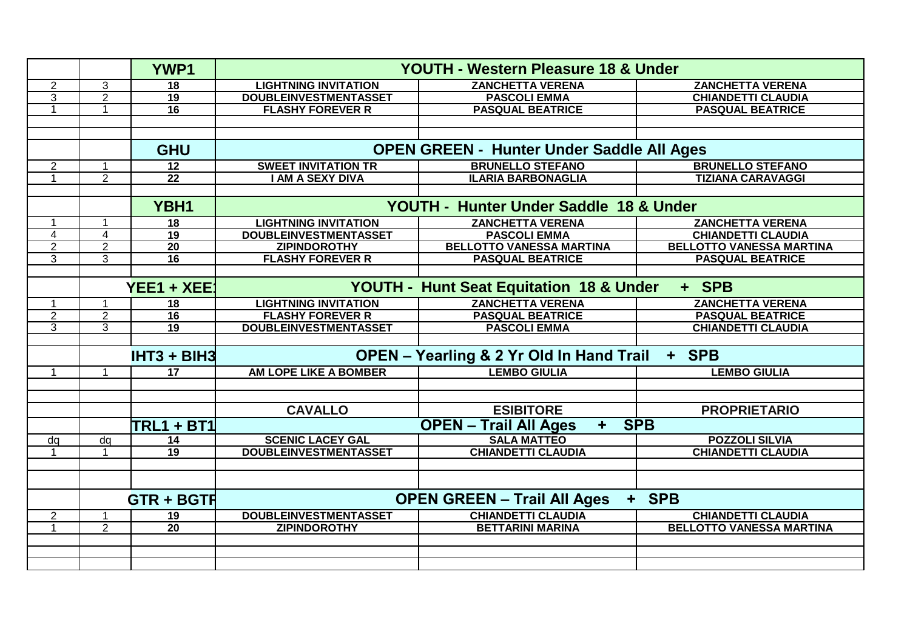|                      |                | <b>YWP1</b>       | <b>YOUTH - Western Pleasure 18 &amp; Under</b>               |                                 |                                 |  |
|----------------------|----------------|-------------------|--------------------------------------------------------------|---------------------------------|---------------------------------|--|
| $\overline{2}$       | 3              | 18                | <b>LIGHTNING INVITATION</b>                                  | <b>ZANCHETTA VERENA</b>         | <b>ZANCHETTA VERENA</b>         |  |
| 3                    | $\overline{2}$ | 19                | <b>DOUBLEINVESTMENTASSET</b>                                 | <b>PASCOLI EMMA</b>             | <b>CHIANDETTI CLAUDIA</b>       |  |
| 1                    | $\mathbf{1}$   | $\overline{16}$   | <b>FLASHY FOREVER R</b>                                      | <b>PASQUAL BEATRICE</b>         | <b>PASQUAL BEATRICE</b>         |  |
|                      |                |                   |                                                              |                                 |                                 |  |
|                      |                |                   |                                                              |                                 |                                 |  |
|                      |                | <b>GHU</b>        | <b>OPEN GREEN - Hunter Under Saddle All Ages</b>             |                                 |                                 |  |
| $\overline{2}$       | -1             | $\overline{12}$   | <b>SWEET INVITATION TR</b>                                   | <b>BRUNELLO STEFANO</b>         | <b>BRUNELLO STEFANO</b>         |  |
| $\blacktriangleleft$ | $\overline{2}$ | $\overline{22}$   | <b>I AM A SEXY DIVA</b>                                      | <b>ILARIA BARBONAGLIA</b>       | <b>TIZIANA CARAVAGGI</b>        |  |
|                      |                |                   |                                                              |                                 |                                 |  |
|                      |                | YBH1              | YOUTH - Hunter Under Saddle 18 & Under                       |                                 |                                 |  |
| 1                    | 1              | 18                | <b>LIGHTNING INVITATION</b>                                  | <b>ZANCHETTA VERENA</b>         | <b>ZANCHETTA VERENA</b>         |  |
| 4                    | $\overline{4}$ | 19                | <b>DOUBLEINVESTMENTASSET</b>                                 | <b>PASCOLI EMMA</b>             | <b>CHIANDETTI CLAUDIA</b>       |  |
| $\overline{2}$       | $\overline{2}$ | $\overline{20}$   | <b>ZIPINDOROTHY</b>                                          | <b>BELLOTTO VANESSA MARTINA</b> | <b>BELLOTTO VANESSA MARTINA</b> |  |
| 3                    | $\overline{3}$ | $\overline{16}$   | <b>FLASHY FOREVER R</b>                                      | <b>PASQUAL BEATRICE</b>         | <b>PASQUAL BEATRICE</b>         |  |
|                      |                |                   |                                                              |                                 |                                 |  |
|                      |                | $YEE1 + XEE$      | <b>YOUTH - Hunt Seat Equitation 18 &amp; Under</b><br>+ SPB  |                                 |                                 |  |
| 1                    |                | 18                | <b>LIGHTNING INVITATION</b>                                  | <b>ZANCHETTA VERENA</b>         | <b>ZANCHETTA VERENA</b>         |  |
| $\overline{2}$       | $\overline{2}$ | $\overline{16}$   | <b>FLASHY FOREVER R</b>                                      | <b>PASQUAL BEATRICE</b>         | <b>PASQUAL BEATRICE</b>         |  |
| 3                    | $\overline{3}$ | $\overline{19}$   | <b>DOUBLEINVESTMENTASSET</b>                                 | <b>PASCOLI EMMA</b>             | <b>CHIANDETTI CLAUDIA</b>       |  |
|                      |                |                   |                                                              |                                 |                                 |  |
|                      |                | IHT3 + BIH3       | <b>OPEN - Yearling &amp; 2 Yr Old In Hand Trail</b><br>+ SPB |                                 |                                 |  |
|                      |                | $\overline{17}$   | <b>AM LOPE LIKE A BOMBER</b>                                 | <b>LEMBO GIULIA</b>             | <b>LEMBO GIULIA</b>             |  |
|                      |                |                   |                                                              |                                 |                                 |  |
|                      |                |                   |                                                              |                                 |                                 |  |
|                      |                |                   | <b>CAVALLO</b>                                               | <b>ESIBITORE</b>                | <b>PROPRIETARIO</b>             |  |
|                      |                | TRL1 + BT1        | <b>SPB</b><br><b>OPEN - Trail All Ages</b><br>÷              |                                 |                                 |  |
| dq                   | dq             | 14                | <b>SCENIC LACEY GAL</b>                                      | <b>SALA MATTEO</b>              | <b>POZZOLI SILVIA</b>           |  |
|                      |                | 19                | <b>DOUBLEINVESTMENTASSET</b>                                 | <b>CHIANDETTI CLAUDIA</b>       | <b>CHIANDETTI CLAUDIA</b>       |  |
|                      |                |                   |                                                              |                                 |                                 |  |
|                      |                |                   |                                                              |                                 |                                 |  |
|                      |                | <b>GTR + BGTR</b> | <b>OPEN GREEN - Trail All Ages</b><br>+ SPB                  |                                 |                                 |  |
| $\overline{2}$       |                | $\overline{19}$   | <b>DOUBLEINVESTMENTASSET</b>                                 | <b>CHIANDETTI CLAUDIA</b>       | <b>CHIANDETTI CLAUDIA</b>       |  |
|                      | $\overline{2}$ | $\overline{20}$   | <b>ZIPINDOROTHY</b>                                          | <b>BETTARINI MARINA</b>         | <b>BELLOTTO VANESSA MARTINA</b> |  |
|                      |                |                   |                                                              |                                 |                                 |  |
|                      |                |                   |                                                              |                                 |                                 |  |
|                      |                |                   |                                                              |                                 |                                 |  |